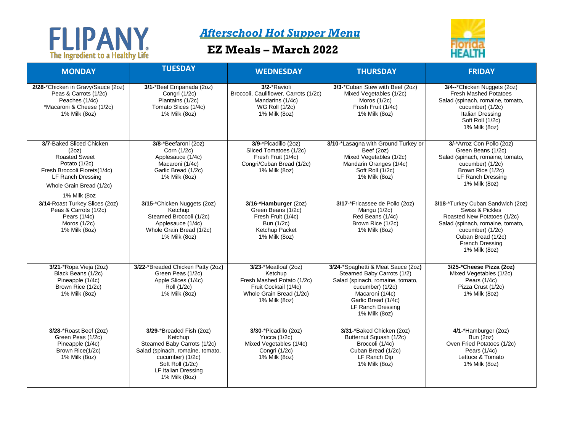## The Ingredient to a Healthy Life

## *Afterschool Hot Supper Menu*

## **EZ Meals – March 2022**



| <b>MONDAY</b>                                                                                                                                                                      | <b>TUESDAY</b>                                                                                                                                                                                | <b>WEDNESDAY</b>                                                                                                                    | <b>THURSDAY</b>                                                                                                                                                                                          | <b>FRIDAY</b>                                                                                                                                                                                         |
|------------------------------------------------------------------------------------------------------------------------------------------------------------------------------------|-----------------------------------------------------------------------------------------------------------------------------------------------------------------------------------------------|-------------------------------------------------------------------------------------------------------------------------------------|----------------------------------------------------------------------------------------------------------------------------------------------------------------------------------------------------------|-------------------------------------------------------------------------------------------------------------------------------------------------------------------------------------------------------|
| 2/28-*Chicken in Gravy/Sauce (2oz)<br>Peas & Carrots (1/2c)<br>Peaches (1/4c)<br>*Macaroni & Cheese (1/2c)<br>1% Milk (8oz)                                                        | 3/1-*Beef Empanada (2oz)<br>Congri (1/2c)<br>Plantains (1/2c)<br>Tomato Slices (1/4c)<br>1% Milk (8oz)                                                                                        | 3/2-*Ravioli<br>Broccoli, Cauliflower, Carrots (1/2c)<br>Mandarins (1/4c)<br><b>WG Roll (1/2c)</b><br>1% Milk (8oz)                 | 3/3-*Cuban Stew with Beef (2oz)<br>Mixed Vegetables (1/2c)<br>Moros $(1/2c)$<br>Fresh Fruit (1/4c)<br>1% Milk (8oz)                                                                                      | 3/4--*Chicken Nuggets (2oz)<br><b>Fresh Mashed Potatoes</b><br>Salad (spinach, romaine, tomato,<br>cucumber) (1/2c)<br>Italian Dressing<br>Soft Roll (1/2c)<br>1% Milk (8oz)                          |
| 3/7-Baked Sliced Chicken<br>(2oz)<br><b>Roasted Sweet</b><br>Potato (1/2c)<br>Fresh Broccoli Florets(1/4c)<br><b>LF Ranch Dressing</b><br>Whole Grain Bread (1/2c)<br>1% Milk (8oz | 3/8-*Beefaroni (2oz)<br>Corn (1/2c)<br>Applesauce (1/4c)<br>Macaroni (1/4c)<br>Garlic Bread (1/2c)<br>1% Milk (8oz)                                                                           | 3/9-*Picadillo (2oz)<br>Sliced Tomatoes (1/2c)<br>Fresh Fruit (1/4c)<br>Congri/Cuban Bread (1/2c)<br>1% Milk (8oz)                  | 3/10-*Lasagna with Ground Turkey or<br>Beef (2oz)<br>Mixed Vegetables (1/2c)<br>Mandarin Oranges (1/4c)<br>Soft Roll (1/2c)<br>1% Milk (80z)                                                             | 3/-*Arroz Con Pollo (2oz)<br>Green Beans (1/2c)<br>Salad (spinach, romaine, tomato,<br>cucumber) (1/2c)<br>Brown Rice (1/2c)<br>LF Ranch Dressing<br>1% Milk (8oz)                                    |
| 3/14-Roast Turkey Slices (2oz)<br>Peas & Carrots (1/2c)<br>Pears (1/4c)<br>Moros (1/2c)<br>1% Milk (8oz)                                                                           | 3/15-*Chicken Nuggets (2oz)<br>Ketchup<br>Steamed Broccoli (1/2c)<br>Applesauce (1/4c)<br>Whole Grain Bread (1/2c)<br>1% Milk (8oz)                                                           | 3/16-*Hamburger (2oz)<br>Green Beans (1/2c)<br>Fresh Fruit (1/4c)<br>Bun (1/2c)<br>Ketchup Packet<br>1% Milk (8oz)                  | 3/17-*Fricassee de Pollo (2oz)<br>Mangu (1/2c)<br>Red Beans (1/4c)<br>Brown Rice (1/2c)<br>1% Milk (8oz)                                                                                                 | 3/18-*Turkey Cuban Sandwich (2oz)<br>Swiss & Pickles<br>Roasted New Potatoes (1/2c)<br>Salad (spinach, romaine, tomato,<br>cucumber) (1/2c)<br>Cuban Bread (1/2c)<br>French Dressing<br>1% Milk (8oz) |
| 3/21-*Ropa Vieja (2oz)<br>Black Beans (1/2c)<br>Pineapple (1/4c)<br>Brown Rice (1/2c)<br>1% Milk (8oz)                                                                             | 3/22-*Breaded Chicken Patty (2oz)<br>Green Peas (1/2c)<br>Apple Slices (1/4c)<br>Roll (1/2c)<br>1% Milk (8oz)                                                                                 | 3/23-*Meatloaf (2oz)<br>Ketchup<br>Fresh Mashed Potato (1/2c)<br>Fruit Cocktail (1/4c)<br>Whole Grain Bread (1/2c)<br>1% Milk (8oz) | 3/24-*Spaghetti & Meat Sauce (2oz)<br>Steamed Baby Carrots (1/2)<br>Salad (spinach, romaine, tomato,<br>cucumber) (1/2c)<br>Macaroni (1/4c)<br>Garlic Bread (1/4c)<br>LF Ranch Dressing<br>1% Milk (8oz) | 3/25-*Cheese Pizza (2oz)<br>Mixed Vegetables (1/2c)<br>Pears (1/4c)<br>Pizza Crust (1/2c)<br>1% Milk (8oz)                                                                                            |
| 3/28-*Roast Beef (2oz)<br>Green Peas (1/2c)<br>Pineapple (1/4c)<br>Brown Rice(1/2c)<br>1% Milk (8oz)                                                                               | 3/29-*Breaded Fish (2oz)<br>Ketchup<br>Steamed Baby Carrots (1/2c)<br>Salad (spinach, romaine, tomato,<br>cucumber) (1/2c)<br>Soft Roll (1/2c)<br><b>LF Italian Dressing</b><br>1% Milk (8oz) | 3/30-*Picadillo (2oz)<br>Yucca $(1/2c)$<br>Mixed Vegetables (1/4c)<br>Congri (1/2c)<br>1% Milk (8oz)                                | 3/31-*Baked Chicken (2oz)<br>Butternut Squash (1/2c)<br>Broccoli (1/4c)<br>Cuban Bread (1/2c)<br>LF Ranch Dip<br>1% Milk (8oz)                                                                           | 4/1-*Hamburger (2oz)<br><b>Bun (2oz)</b><br>Oven Fried Potatoes (1/2c)<br>Pears (1/4c)<br>Lettuce & Tomato<br>1% Milk (8oz)                                                                           |